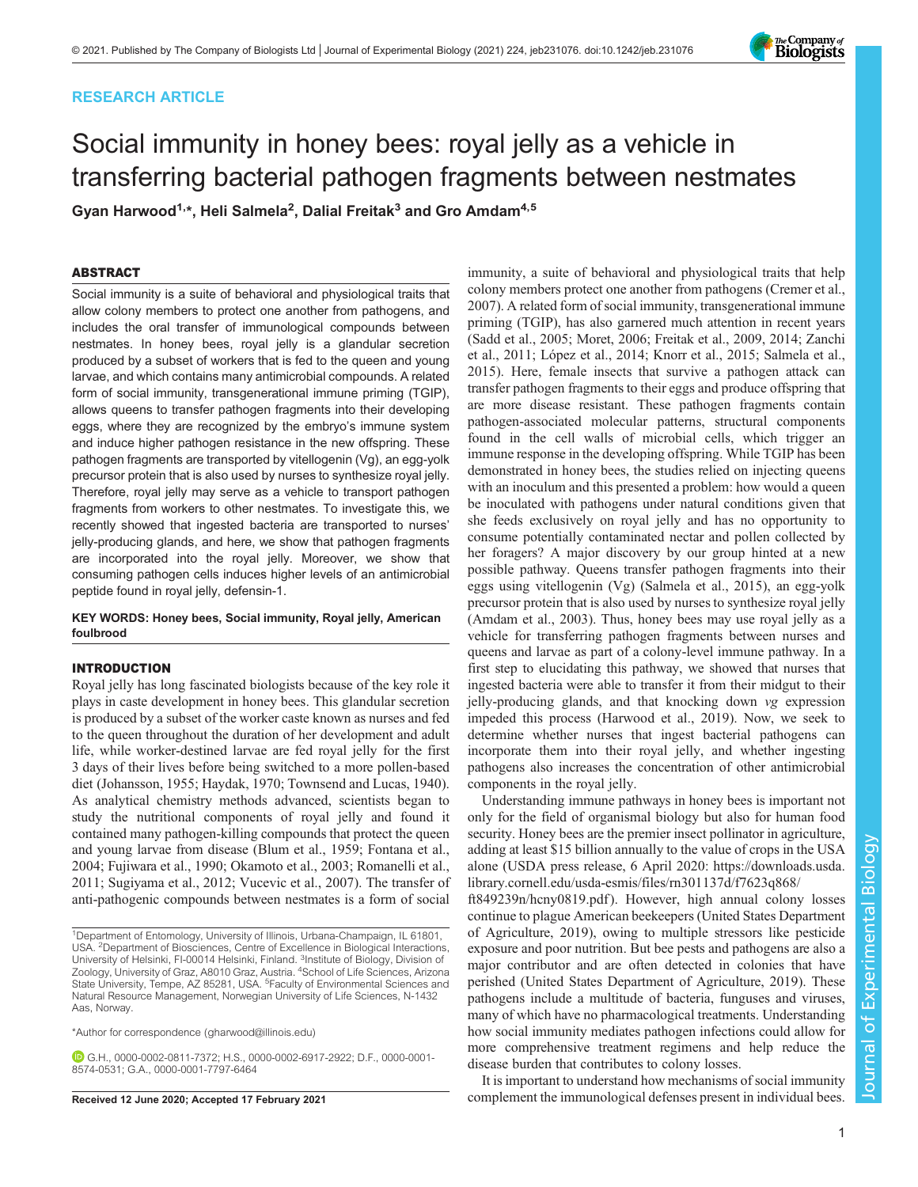# RESEARCH ARTICLE

# Social immunity in honey bees: royal jelly as a vehicle in transferring bacterial pathogen fragments between nestmates

Gyan Harwood $^{1,*}$ , Heli Salmela $^2$ , Dalial Freitak $^3$  and Gro Amdam $^{4,5}$ 

# ABSTRACT

Social immunity is a suite of behavioral and physiological traits that allow colony members to protect one another from pathogens, and includes the oral transfer of immunological compounds between nestmates. In honey bees, royal jelly is a glandular secretion produced by a subset of workers that is fed to the queen and young larvae, and which contains many antimicrobial compounds. A related form of social immunity, transgenerational immune priming (TGIP), allows queens to transfer pathogen fragments into their developing eggs, where they are recognized by the embryo's immune system and induce higher pathogen resistance in the new offspring. These pathogen fragments are transported by vitellogenin (Vg), an egg-yolk precursor protein that is also used by nurses to synthesize royal jelly. Therefore, royal jelly may serve as a vehicle to transport pathogen fragments from workers to other nestmates. To investigate this, we recently showed that ingested bacteria are transported to nurses' jelly-producing glands, and here, we show that pathogen fragments are incorporated into the royal jelly. Moreover, we show that consuming pathogen cells induces higher levels of an antimicrobial peptide found in royal jelly, defensin-1.

# KEY WORDS: Honey bees, Social immunity, Royal jelly, American foulbrood

# INTRODUCTION

Royal jelly has long fascinated biologists because of the key role it plays in caste development in honey bees. This glandular secretion is produced by a subset of the worker caste known as nurses and fed to the queen throughout the duration of her development and adult life, while worker-destined larvae are fed royal jelly for the first 3 days of their lives before being switched to a more pollen-based diet ([Johansson, 1955](#page-7-0); [Haydak, 1970](#page-6-0); [Townsend and Lucas, 1940\)](#page-7-0). As analytical chemistry methods advanced, scientists began to study the nutritional components of royal jelly and found it contained many pathogen-killing compounds that protect the queen and young larvae from disease [\(Blum et al., 1959; Fontana et al.,](#page-6-0) [2004](#page-6-0); [Fujiwara et al., 1990;](#page-6-0) [Okamoto et al., 2003](#page-7-0); [Romanelli et al.,](#page-7-0) [2011](#page-7-0); [Sugiyama et al., 2012; Vucevic et al., 2007](#page-7-0)). The transfer of anti-pathogenic compounds between nestmates is a form of social

\*Author for correspondence [\(gharwood@illinois.edu](mailto:gharwood@illinois.edu))

G.H., [0000-0002-0811-7372](http://orcid.org/0000-0002-0811-7372); H.S., [0000-0002-6917-2922;](http://orcid.org/0000-0002-6917-2922) D.F., [0000-0001-](http://orcid.org/0000-0001-8574-0531) [8574-0531](http://orcid.org/0000-0001-8574-0531); G.A., [0000-0001-7797-6464](http://orcid.org/0000-0001-7797-6464)

immunity, a suite of behavioral and physiological traits that help colony members protect one another from pathogens ([Cremer et al.,](#page-6-0) [2007\)](#page-6-0). A related form of social immunity, transgenerational immune priming (TGIP), has also garnered much attention in recent years [\(Sadd et al., 2005](#page-7-0); [Moret, 2006;](#page-7-0) [Freitak et al., 2009](#page-6-0), [2014;](#page-6-0) [Zanchi](#page-7-0) [et al., 2011](#page-7-0); [López et al., 2014](#page-7-0); [Knorr et al., 2015](#page-7-0); [Salmela et al.,](#page-7-0) [2015\)](#page-7-0). Here, female insects that survive a pathogen attack can transfer pathogen fragments to their eggs and produce offspring that are more disease resistant. These pathogen fragments contain pathogen-associated molecular patterns, structural components found in the cell walls of microbial cells, which trigger an immune response in the developing offspring. While TGIP has been demonstrated in honey bees, the studies relied on injecting queens with an inoculum and this presented a problem: how would a queen be inoculated with pathogens under natural conditions given that she feeds exclusively on royal jelly and has no opportunity to consume potentially contaminated nectar and pollen collected by her foragers? A major discovery by our group hinted at a new possible pathway. Queens transfer pathogen fragments into their eggs using vitellogenin (Vg) [\(Salmela et al., 2015\)](#page-7-0), an egg-yolk precursor protein that is also used by nurses to synthesize royal jelly [\(Amdam et al., 2003](#page-6-0)). Thus, honey bees may use royal jelly as a vehicle for transferring pathogen fragments between nurses and queens and larvae as part of a colony-level immune pathway. In a first step to elucidating this pathway, we showed that nurses that ingested bacteria were able to transfer it from their midgut to their jelly-producing glands, and that knocking down vg expression impeded this process ([Harwood et al., 2019\)](#page-6-0). Now, we seek to determine whether nurses that ingest bacterial pathogens can incorporate them into their royal jelly, and whether ingesting pathogens also increases the concentration of other antimicrobial components in the royal jelly.

Understanding immune pathways in honey bees is important not only for the field of organismal biology but also for human food security. Honey bees are the premier insect pollinator in agriculture, adding at least \$15 billion annually to the value of crops in the USA alone (USDA press release, 6 April 2020: [https://downloads.usda.](https://downloads.usda.library.cornell.edu/usda-esmis/files/rn301137d/f7623q868/ft849239n/hcny0819.pdf) [library.cornell.edu/usda-esmis/files/rn301137d/f7623q868/](https://downloads.usda.library.cornell.edu/usda-esmis/files/rn301137d/f7623q868/ft849239n/hcny0819.pdf)

[ft849239n/hcny0819.pdf](https://downloads.usda.library.cornell.edu/usda-esmis/files/rn301137d/f7623q868/ft849239n/hcny0819.pdf)). However, high annual colony losses continue to plague American beekeepers [\(United States Department](#page-7-0) [of Agriculture, 2019\)](#page-7-0), owing to multiple stressors like pesticide exposure and poor nutrition. But bee pests and pathogens are also a major contributor and are often detected in colonies that have perished [\(United States Department of Agriculture, 2019\)](#page-7-0). These pathogens include a multitude of bacteria, funguses and viruses, many of which have no pharmacological treatments. Understanding how social immunity mediates pathogen infections could allow for more comprehensive treatment regimens and help reduce the disease burden that contributes to colony losses.

It is important to understand how mechanisms of social immunity Received 12 June 2020; Accepted 17 February 2021 complement the immunological defenses present in individual bees.



<sup>&</sup>lt;sup>1</sup>Department of Entomology, University of Illinois, Urbana-Champaign, IL 61801, USA. 2Department of Biosciences, Centre of Excellence in Biological Interactions, University of Helsinki, FI-00014 Helsinki, Finland. <sup>3</sup>Institute of Biology, Division of<br>Zoology, University of Graz, A8010 Graz, Austria. <sup>4</sup>School of Life Sciences, Arizona State University, Tempe, AZ 85281, USA. <sup>5</sup> Faculty of Environmental Sciences and Natural Resource Management, Norwegian University of Life Sciences, N-1432 Aas, Norway.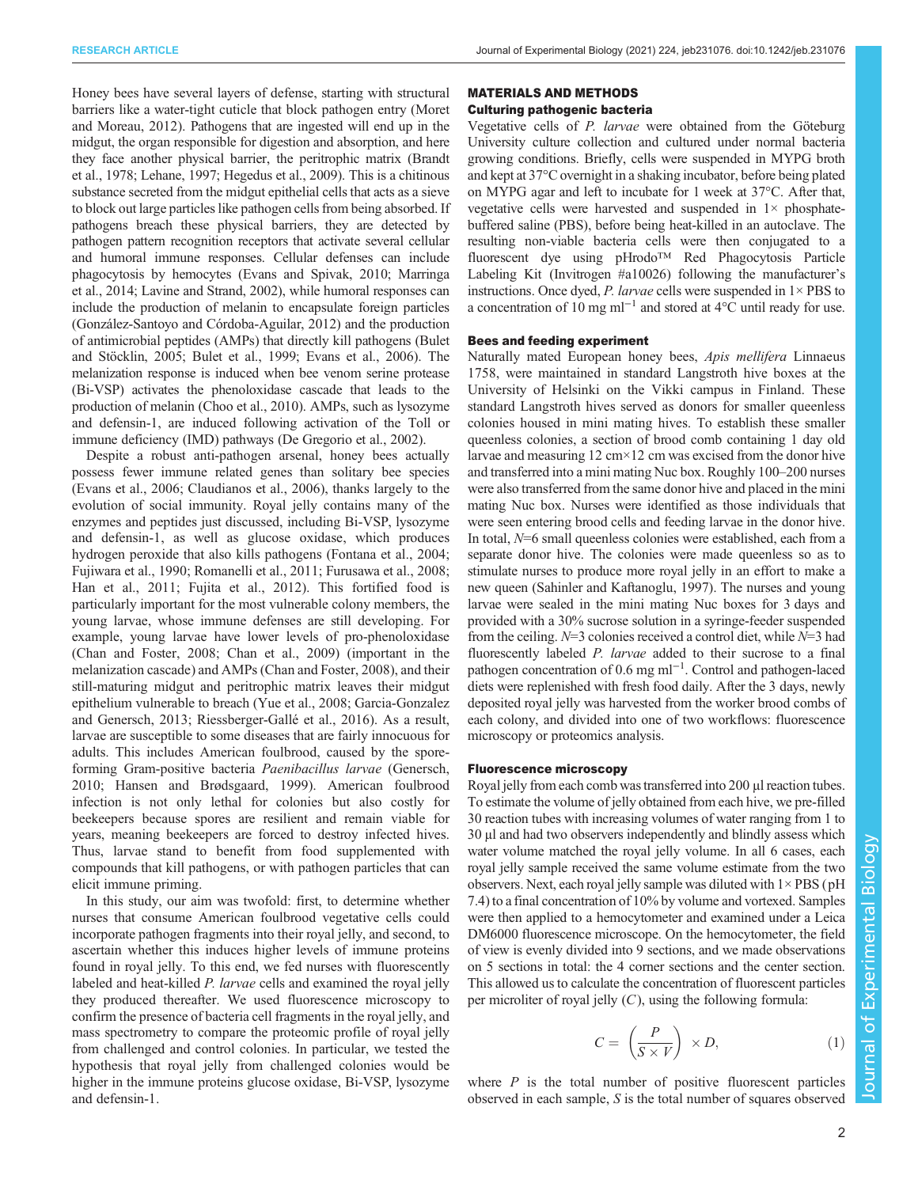Honey bees have several layers of defense, starting with structural barriers like a water-tight cuticle that block pathogen entry [\(Moret](#page-7-0) [and Moreau, 2012\)](#page-7-0). Pathogens that are ingested will end up in the midgut, the organ responsible for digestion and absorption, and here they face another physical barrier, the peritrophic matrix [\(Brandt](#page-6-0) [et al., 1978](#page-6-0); [Lehane, 1997](#page-7-0); [Hegedus et al., 2009](#page-6-0)). This is a chitinous substance secreted from the midgut epithelial cells that acts as a sieve to block out large particles like pathogen cells from being absorbed. If pathogens breach these physical barriers, they are detected by pathogen pattern recognition receptors that activate several cellular and humoral immune responses. Cellular defenses can include phagocytosis by hemocytes [\(Evans and Spivak, 2010;](#page-6-0) [Marringa](#page-7-0) [et al., 2014](#page-7-0); [Lavine and Strand, 2002](#page-7-0)), while humoral responses can include the production of melanin to encapsulate foreign particles [\(González-Santoyo and Córdoba-Aguilar, 2012](#page-6-0)) and the production of antimicrobial peptides (AMPs) that directly kill pathogens [\(Bulet](#page-6-0) [and Stöcklin, 2005; Bulet et al., 1999](#page-6-0); [Evans et al., 2006\)](#page-6-0). The melanization response is induced when bee venom serine protease (Bi-VSP) activates the phenoloxidase cascade that leads to the production of melanin [\(Choo et al., 2010](#page-6-0)). AMPs, such as lysozyme and defensin-1, are induced following activation of the Toll or immune deficiency (IMD) pathways [\(De Gregorio et al., 2002](#page-6-0)).

Despite a robust anti-pathogen arsenal, honey bees actually possess fewer immune related genes than solitary bee species [\(Evans et al., 2006; Claudianos et al., 2006\)](#page-6-0), thanks largely to the evolution of social immunity. Royal jelly contains many of the enzymes and peptides just discussed, including Bi-VSP, lysozyme and defensin-1, as well as glucose oxidase, which produces hydrogen peroxide that also kills pathogens ([Fontana et al., 2004](#page-6-0); [Fujiwara et al., 1990;](#page-6-0) [Romanelli et al., 2011;](#page-7-0) [Furusawa et al., 2008](#page-6-0); [Han et al., 2011; Fujita et al., 2012](#page-6-0)). This fortified food is particularly important for the most vulnerable colony members, the young larvae, whose immune defenses are still developing. For example, young larvae have lower levels of pro-phenoloxidase [\(Chan and Foster, 2008](#page-6-0); [Chan et al., 2009\)](#page-6-0) (important in the melanization cascade) and AMPs ([Chan and Foster, 2008](#page-6-0)), and their still-maturing midgut and peritrophic matrix leaves their midgut epithelium vulnerable to breach ([Yue et al., 2008;](#page-7-0) [Garcia-Gonzalez](#page-6-0) [and Genersch, 2013](#page-6-0); [Riessberger-Gallé et al., 2016\)](#page-7-0). As a result, larvae are susceptible to some diseases that are fairly innocuous for adults. This includes American foulbrood, caused by the sporeforming Gram-positive bacteria Paenibacillus larvae [\(Genersch,](#page-6-0) [2010](#page-6-0); [Hansen and Brødsgaard, 1999\)](#page-6-0). American foulbrood infection is not only lethal for colonies but also costly for beekeepers because spores are resilient and remain viable for years, meaning beekeepers are forced to destroy infected hives. Thus, larvae stand to benefit from food supplemented with compounds that kill pathogens, or with pathogen particles that can elicit immune priming.

In this study, our aim was twofold: first, to determine whether nurses that consume American foulbrood vegetative cells could incorporate pathogen fragments into their royal jelly, and second, to ascertain whether this induces higher levels of immune proteins found in royal jelly. To this end, we fed nurses with fluorescently labeled and heat-killed P. larvae cells and examined the royal jelly they produced thereafter. We used fluorescence microscopy to confirm the presence of bacteria cell fragments in the royal jelly, and mass spectrometry to compare the proteomic profile of royal jelly from challenged and control colonies. In particular, we tested the hypothesis that royal jelly from challenged colonies would be higher in the immune proteins glucose oxidase, Bi-VSP, lysozyme and defensin-1.

## MATERIALS AND METHODS

# Culturing pathogenic bacteria

Vegetative cells of P. larvae were obtained from the Göteburg University culture collection and cultured under normal bacteria growing conditions. Briefly, cells were suspended in MYPG broth and kept at 37°C overnight in a shaking incubator, before being plated on MYPG agar and left to incubate for 1 week at 37°C. After that, vegetative cells were harvested and suspended in  $1\times$  phosphatebuffered saline (PBS), before being heat-killed in an autoclave. The resulting non-viable bacteria cells were then conjugated to a fluorescent dye using pHrodo™ Red Phagocytosis Particle Labeling Kit (Invitrogen #a10026) following the manufacturer's instructions. Once dyed, P. larvae cells were suspended in  $1 \times PBS$  to a concentration of 10 mg ml<sup>-1</sup> and stored at 4°C until ready for use.

## Bees and feeding experiment

Naturally mated European honey bees, Apis mellifera Linnaeus 1758, were maintained in standard Langstroth hive boxes at the University of Helsinki on the Vikki campus in Finland. These standard Langstroth hives served as donors for smaller queenless colonies housed in mini mating hives. To establish these smaller queenless colonies, a section of brood comb containing 1 day old larvae and measuring 12 cm×12 cm was excised from the donor hive and transferred into a mini mating Nuc box. Roughly 100–200 nurses were also transferred from the same donor hive and placed in the mini mating Nuc box. Nurses were identified as those individuals that were seen entering brood cells and feeding larvae in the donor hive. In total, N=6 small queenless colonies were established, each from a separate donor hive. The colonies were made queenless so as to stimulate nurses to produce more royal jelly in an effort to make a new queen [\(Sahinler and Kaftanoglu, 1997\)](#page-7-0). The nurses and young larvae were sealed in the mini mating Nuc boxes for 3 days and provided with a 30% sucrose solution in a syringe-feeder suspended from the ceiling.  $N=3$  colonies received a control diet, while  $N=3$  had fluorescently labeled P. larvae added to their sucrose to a final pathogen concentration of 0.6 mg ml<sup>-1</sup>. Control and pathogen-laced diets were replenished with fresh food daily. After the 3 days, newly deposited royal jelly was harvested from the worker brood combs of each colony, and divided into one of two workflows: fluorescence microscopy or proteomics analysis.

#### Fluorescence microscopy

Royal jelly from each comb was transferred into 200 µl reaction tubes. To estimate the volume of jelly obtained from each hive, we pre-filled 30 reaction tubes with increasing volumes of water ranging from 1 to 30 µl and had two observers independently and blindly assess which water volume matched the royal jelly volume. In all 6 cases, each royal jelly sample received the same volume estimate from the two observers. Next, each royal jelly sample was diluted with  $1 \times PBS$  (pH 7.4) to a final concentration of 10% by volume and vortexed. Samples were then applied to a hemocytometer and examined under a Leica DM6000 fluorescence microscope. On the hemocytometer, the field of view is evenly divided into 9 sections, and we made observations on 5 sections in total: the 4 corner sections and the center section. This allowed us to calculate the concentration of fluorescent particles per microliter of royal jelly  $(C)$ , using the following formula:

$$
C = \left(\frac{P}{S \times V}\right) \times D,\tag{1}
$$

where  $P$  is the total number of positive fluorescent particles observed in each sample, S is the total number of squares observed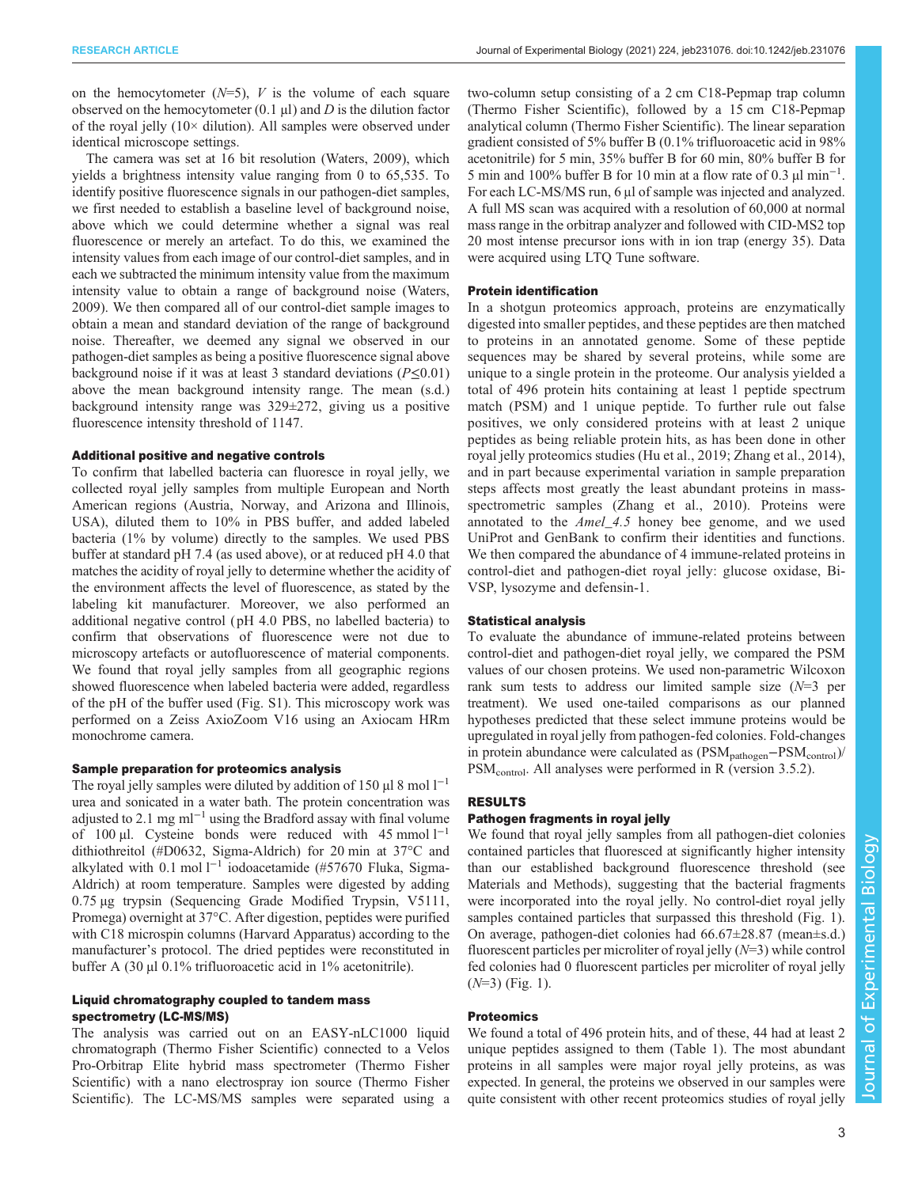on the hemocytometer  $(N=5)$ , V is the volume of each square observed on the hemocytometer  $(0.1 \mu I)$  and D is the dilution factor of the royal jelly (10× dilution). All samples were observed under identical microscope settings.

The camera was set at 16 bit resolution [\(Waters, 2009](#page-7-0)), which yields a brightness intensity value ranging from 0 to 65,535. To identify positive fluorescence signals in our pathogen-diet samples, we first needed to establish a baseline level of background noise, above which we could determine whether a signal was real fluorescence or merely an artefact. To do this, we examined the intensity values from each image of our control-diet samples, and in each we subtracted the minimum intensity value from the maximum intensity value to obtain a range of background noise ([Waters,](#page-7-0) [2009](#page-7-0)). We then compared all of our control-diet sample images to obtain a mean and standard deviation of the range of background noise. Thereafter, we deemed any signal we observed in our pathogen-diet samples as being a positive fluorescence signal above background noise if it was at least 3 standard deviations ( $P \le 0.01$ ) above the mean background intensity range. The mean (s.d.) background intensity range was 329±272, giving us a positive fluorescence intensity threshold of 1147.

## Additional positive and negative controls

To confirm that labelled bacteria can fluoresce in royal jelly, we collected royal jelly samples from multiple European and North American regions (Austria, Norway, and Arizona and Illinois, USA), diluted them to 10% in PBS buffer, and added labeled bacteria (1% by volume) directly to the samples. We used PBS buffer at standard pH 7.4 (as used above), or at reduced pH 4.0 that matches the acidity of royal jelly to determine whether the acidity of the environment affects the level of fluorescence, as stated by the labeling kit manufacturer. Moreover, we also performed an additional negative control ( pH 4.0 PBS, no labelled bacteria) to confirm that observations of fluorescence were not due to microscopy artefacts or autofluorescence of material components. We found that royal jelly samples from all geographic regions showed fluorescence when labeled bacteria were added, regardless of the pH of the buffer used [\(Fig. S1\)](http://jeb.biologists.org/lookup/doi/10.1242/jeb.231076.supplemental). This microscopy work was performed on a Zeiss AxioZoom V16 using an Axiocam HRm monochrome camera.

## Sample preparation for proteomics analysis

The royal jelly samples were diluted by addition of 150  $\mu$ l 8 mol l<sup>-1</sup> urea and sonicated in a water bath. The protein concentration was adjusted to 2.1 mg ml−<sup>1</sup> using the Bradford assay with final volume of 100 µl. Cysteine bonds were reduced with 45 mmol  $l^{-1}$ dithiothreitol (#D0632, Sigma-Aldrich) for 20 min at 37°C and alkylated with 0.1 mol l−<sup>1</sup> iodoacetamide (#57670 Fluka, Sigma-Aldrich) at room temperature. Samples were digested by adding 0.75 µg trypsin (Sequencing Grade Modified Trypsin, V5111, Promega) overnight at 37°C. After digestion, peptides were purified with C18 microspin columns (Harvard Apparatus) according to the manufacturer's protocol. The dried peptides were reconstituted in buffer A (30 µl 0.1% trifluoroacetic acid in 1% acetonitrile).

## Liquid chromatography coupled to tandem mass spectrometry (LC-MS/MS)

The analysis was carried out on an EASY-nLC1000 liquid chromatograph (Thermo Fisher Scientific) connected to a Velos Pro-Orbitrap Elite hybrid mass spectrometer (Thermo Fisher Scientific) with a nano electrospray ion source (Thermo Fisher Scientific). The LC-MS/MS samples were separated using a

two-column setup consisting of a 2 cm C18-Pepmap trap column (Thermo Fisher Scientific), followed by a 15 cm C18-Pepmap analytical column (Thermo Fisher Scientific). The linear separation gradient consisted of 5% buffer B (0.1% trifluoroacetic acid in 98% acetonitrile) for 5 min, 35% buffer B for 60 min, 80% buffer B for 5 min and 100% buffer B for 10 min at a flow rate of 0.3  $\mu$ l min<sup>-1</sup>. For each LC-MS/MS run, 6 μl of sample was injected and analyzed. A full MS scan was acquired with a resolution of 60,000 at normal mass range in the orbitrap analyzer and followed with CID-MS2 top 20 most intense precursor ions with in ion trap (energy 35). Data were acquired using LTQ Tune software.

## Protein identification

In a shotgun proteomics approach, proteins are enzymatically digested into smaller peptides, and these peptides are then matched to proteins in an annotated genome. Some of these peptide sequences may be shared by several proteins, while some are unique to a single protein in the proteome. Our analysis yielded a total of 496 protein hits containing at least 1 peptide spectrum match (PSM) and 1 unique peptide. To further rule out false positives, we only considered proteins with at least 2 unique peptides as being reliable protein hits, as has been done in other royal jelly proteomics studies ([Hu et al., 2019;](#page-6-0) Zhang et al., 2014), and in part because experimental variation in sample preparation steps affects most greatly the least abundant proteins in massspectrometric samples (Zhang et al., 2010). Proteins were annotated to the *Amel 4.5* honey bee genome, and we used UniProt and GenBank to confirm their identities and functions. We then compared the abundance of 4 immune-related proteins in control-diet and pathogen-diet royal jelly: glucose oxidase, Bi-VSP, lysozyme and defensin-1.

## Statistical analysis

To evaluate the abundance of immune-related proteins between control-diet and pathogen-diet royal jelly, we compared the PSM values of our chosen proteins. We used non-parametric Wilcoxon rank sum tests to address our limited sample size  $(N=3$  per treatment). We used one-tailed comparisons as our planned hypotheses predicted that these select immune proteins would be upregulated in royal jelly from pathogen-fed colonies. Fold-changes in protein abundance were calculated as (PSM<sub>pathogen</sub>–PSM<sub>control</sub>)/ PSM<sub>control</sub>. All analyses were performed in R (version 3.5.2).

## RESULTS

## Pathogen fragments in royal jelly

We found that royal jelly samples from all pathogen-diet colonies contained particles that fluoresced at significantly higher intensity than our established background fluorescence threshold (see Materials and Methods), suggesting that the bacterial fragments were incorporated into the royal jelly. No control-diet royal jelly samples contained particles that surpassed this threshold ([Fig. 1\)](#page-3-0). On average, pathogen-diet colonies had 66.67±28.87 (mean±s.d.) fluorescent particles per microliter of royal jelly  $(N=3)$  while control fed colonies had 0 fluorescent particles per microliter of royal jelly  $(N=3)$  [\(Fig. 1\)](#page-3-0).

## **Proteomics**

We found a total of 496 protein hits, and of these, 44 had at least 2 unique peptides assigned to them ([Table 1\)](#page-4-0). The most abundant proteins in all samples were major royal jelly proteins, as was expected. In general, the proteins we observed in our samples were quite consistent with other recent proteomics studies of royal jelly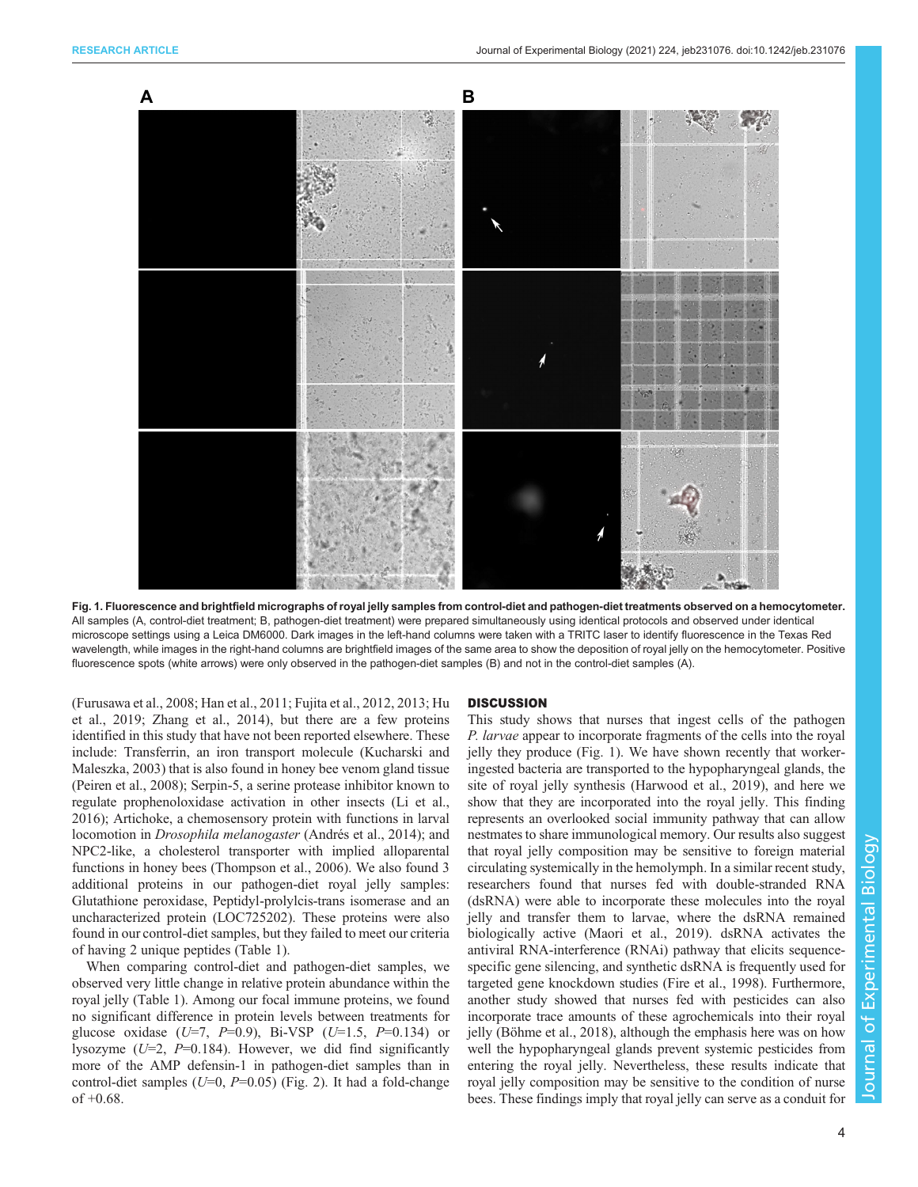<span id="page-3-0"></span>

Fig. 1. Fluorescence and brightfield micrographs of royal jelly samples from control-diet and pathogen-diet treatments observed on a hemocytometer. All samples (A, control-diet treatment; B, pathogen-diet treatment) were prepared simultaneously using identical protocols and observed under identical microscope settings using a Leica DM6000. Dark images in the left-hand columns were taken with a TRITC laser to identify fluorescence in the Texas Red wavelength, while images in the right-hand columns are brightfield images of the same area to show the deposition of royal jelly on the hemocytometer. Positive fluorescence spots (white arrows) were only observed in the pathogen-diet samples (B) and not in the control-diet samples (A).

[\(Furusawa et al., 2008; Han et al., 2011](#page-6-0); [Fujita et al., 2012, 2013](#page-6-0); [Hu](#page-6-0) [et al., 2019;](#page-6-0) Zhang et al., 2014), but there are a few proteins identified in this study that have not been reported elsewhere. These include: Transferrin, an iron transport molecule [\(Kucharski and](#page-7-0) [Maleszka, 2003\)](#page-7-0) that is also found in honey bee venom gland tissue [\(Peiren et al., 2008](#page-7-0)); Serpin-5, a serine protease inhibitor known to regulate prophenoloxidase activation in other insects [\(Li et al.,](#page-7-0) [2016](#page-7-0)); Artichoke, a chemosensory protein with functions in larval locomotion in Drosophila melanogaster ([Andrés et al., 2014](#page-6-0)); and NPC2-like, a cholesterol transporter with implied alloparental functions in honey bees ([Thompson et al., 2006](#page-7-0)). We also found 3 additional proteins in our pathogen-diet royal jelly samples: Glutathione peroxidase, Peptidyl-prolylcis-trans isomerase and an uncharacterized protein (LOC725202). These proteins were also found in our control-diet samples, but they failed to meet our criteria of having 2 unique peptides ([Table 1](#page-4-0)).

When comparing control-diet and pathogen-diet samples, we observed very little change in relative protein abundance within the royal jelly ([Table 1](#page-4-0)). Among our focal immune proteins, we found no significant difference in protein levels between treatments for glucose oxidase  $(U=7, P=0.9)$ , Bi-VSP  $(U=1.5, P=0.134)$  or lysozyme ( $U=2$ ,  $P=0.184$ ). However, we did find significantly more of the AMP defensin-1 in pathogen-diet samples than in control-diet samples ( $U=0$ ,  $P=0.05$ ) ([Fig. 2\)](#page-5-0). It had a fold-change of  $+0.68$ .

#### **DISCUSSION**

This study shows that nurses that ingest cells of the pathogen P. larvae appear to incorporate fragments of the cells into the royal jelly they produce (Fig. 1). We have shown recently that workeringested bacteria are transported to the hypopharyngeal glands, the site of royal jelly synthesis ([Harwood et al., 2019](#page-6-0)), and here we show that they are incorporated into the royal jelly. This finding represents an overlooked social immunity pathway that can allow nestmates to share immunological memory. Our results also suggest that royal jelly composition may be sensitive to foreign material circulating systemically in the hemolymph. In a similar recent study, researchers found that nurses fed with double-stranded RNA (dsRNA) were able to incorporate these molecules into the royal jelly and transfer them to larvae, where the dsRNA remained biologically active ([Maori et al., 2019\)](#page-7-0). dsRNA activates the antiviral RNA-interference (RNAi) pathway that elicits sequencespecific gene silencing, and synthetic dsRNA is frequently used for targeted gene knockdown studies [\(Fire et al., 1998\)](#page-6-0). Furthermore, another study showed that nurses fed with pesticides can also incorporate trace amounts of these agrochemicals into their royal jelly [\(Böhme et al., 2018\)](#page-6-0), although the emphasis here was on how well the hypopharyngeal glands prevent systemic pesticides from entering the royal jelly. Nevertheless, these results indicate that royal jelly composition may be sensitive to the condition of nurse bees. These findings imply that royal jelly can serve as a conduit for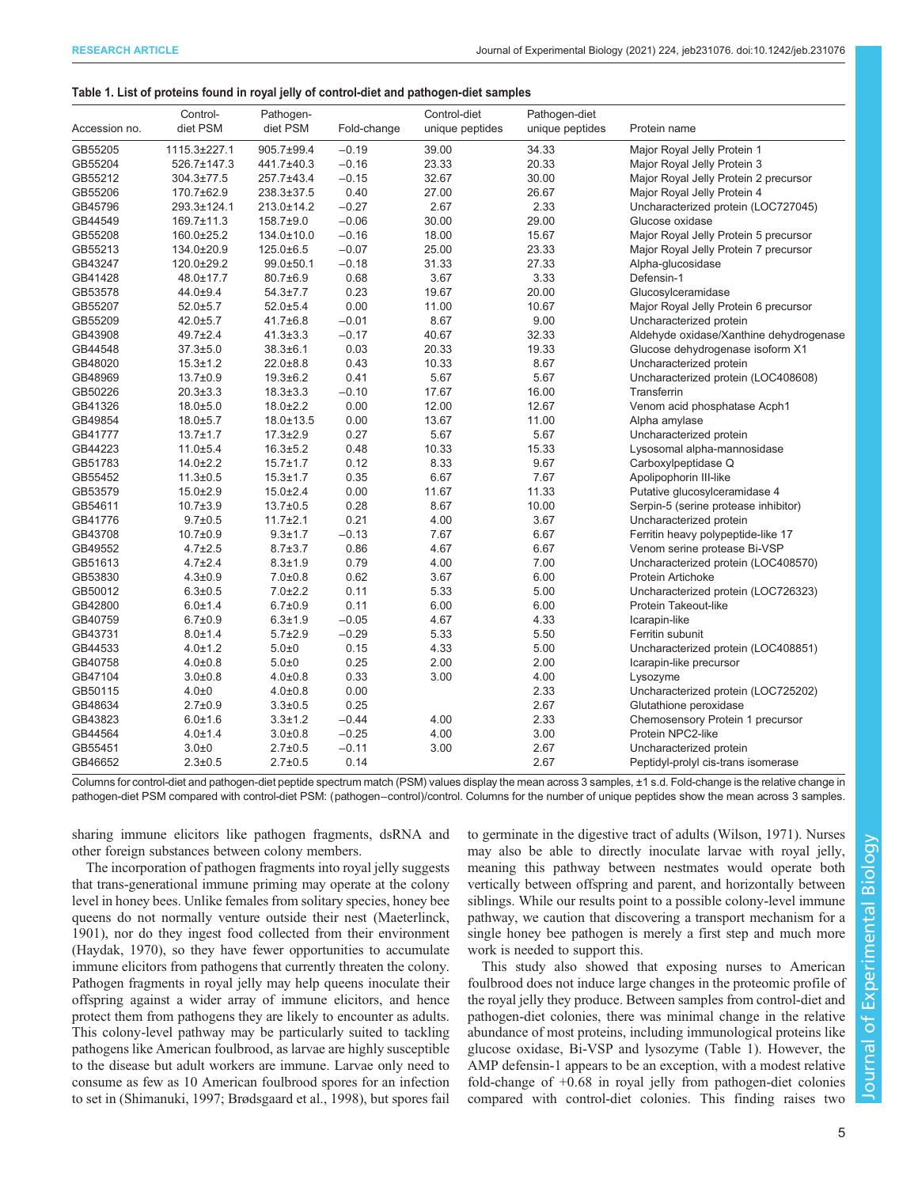#### <span id="page-4-0"></span>Table 1. List of proteins found in royal jelly of control-diet and pathogen-diet samples

| Accession no. | Control-<br>diet PSM | Pathogen-<br>diet PSM | Fold-change | Control-diet<br>unique peptides | Pathogen-diet<br>unique peptides | Protein name                            |
|---------------|----------------------|-----------------------|-------------|---------------------------------|----------------------------------|-----------------------------------------|
| GB55205       | 1115.3±227.1         | 905.7±99.4            | $-0.19$     | 39.00                           | 34.33                            | Major Royal Jelly Protein 1             |
| GB55204       | 526.7±147.3          | 441.7±40.3            | $-0.16$     | 23.33                           | 20.33                            | Major Royal Jelly Protein 3             |
| GB55212       | 304.3±77.5           | 257.7±43.4            | $-0.15$     | 32.67                           | 30.00                            | Major Royal Jelly Protein 2 precursor   |
| GB55206       | 170.7±62.9           | 238.3±37.5            | 0.40        | 27.00                           | 26.67                            | Major Royal Jelly Protein 4             |
| GB45796       | 293.3±124.1          | 213.0±14.2            | $-0.27$     | 2.67                            | 2.33                             | Uncharacterized protein (LOC727045)     |
| GB44549       | 169.7±11.3           | $158.7 \pm 9.0$       | $-0.06$     | 30.00                           | 29.00                            | Glucose oxidase                         |
| GB55208       | 160.0±25.2           | 134.0±10.0            | $-0.16$     | 18.00                           | 15.67                            | Major Royal Jelly Protein 5 precursor   |
| GB55213       | 134.0±20.9           | $125.0 \pm 6.5$       | $-0.07$     | 25.00                           | 23.33                            | Major Royal Jelly Protein 7 precursor   |
| GB43247       | 120.0±29.2           | 99.0±50.1             | $-0.18$     | 31.33                           | 27.33                            | Alpha-glucosidase                       |
| GB41428       | 48.0±17.7            | 80.7±6.9              | 0.68        | 3.67                            | 3.33                             | Defensin-1                              |
| GB53578       | 44.0±9.4             | $54.3 \pm 7.7$        | 0.23        | 19.67                           | 20.00                            | Glucosylceramidase                      |
| GB55207       | $52.0 + 5.7$         | $52.0 \pm 5.4$        | 0.00        | 11.00                           | 10.67                            | Major Royal Jelly Protein 6 precursor   |
| GB55209       | $42.0 \pm 5.7$       | $41.7 \pm 6.8$        | $-0.01$     | 8.67                            | 9.00                             | Uncharacterized protein                 |
| GB43908       | $49.7 \pm 2.4$       | $41.3 \pm 3.3$        | $-0.17$     | 40.67                           | 32.33                            | Aldehyde oxidase/Xanthine dehydrogenase |
| GB44548       | $37.3 \pm 5.0$       | $38.3 \pm 6.1$        | 0.03        | 20.33                           | 19.33                            | Glucose dehydrogenase isoform X1        |
| GB48020       | $15.3 \pm 1.2$       | $22.0 \pm 8.8$        | 0.43        | 10.33                           | 8.67                             | Uncharacterized protein                 |
| GB48969       | $13.7 \pm 0.9$       | $19.3 + 6.2$          | 0.41        | 5.67                            | 5.67                             | Uncharacterized protein (LOC408608)     |
| GB50226       | $20.3 \pm 3.3$       | $18.3 \pm 3.3$        | $-0.10$     | 17.67                           | 16.00                            | Transferrin                             |
| GB41326       | $18.0 \pm 5.0$       | $18.0 \pm 2.2$        | 0.00        | 12.00                           | 12.67                            | Venom acid phosphatase Acph1            |
| GB49854       | $18.0 \pm 5.7$       | 18.0±13.5             | 0.00        | 13.67                           | 11.00                            | Alpha amylase                           |
| GB41777       | $13.7 \pm 1.7$       | $17.3 \pm 2.9$        | 0.27        | 5.67                            | 5.67                             | Uncharacterized protein                 |
| GB44223       | $11.0 + 5.4$         | $16.3 \pm 5.2$        | 0.48        | 10.33                           | 15.33                            | Lysosomal alpha-mannosidase             |
| GB51783       | $14.0 \pm 2.2$       | $15.7 \pm 1.7$        | 0.12        | 8.33                            | 9.67                             | Carboxylpeptidase Q                     |
| GB55452       | $11.3 \pm 0.5$       | $15.3 \pm 1.7$        | 0.35        | 6.67                            | 7.67                             | Apolipophorin III-like                  |
| GB53579       | $15.0 \pm 2.9$       | $15.0 \pm 2.4$        | 0.00        | 11.67                           | 11.33                            | Putative glucosylceramidase 4           |
| GB54611       | $10.7 \pm 3.9$       | $13.7 \pm 0.5$        | 0.28        | 8.67                            | 10.00                            | Serpin-5 (serine protease inhibitor)    |
| GB41776       | $9.7 + 0.5$          | $11.7 \pm 2.1$        | 0.21        | 4.00                            | 3.67                             | Uncharacterized protein                 |
| GB43708       | $10.7 \pm 0.9$       | $9.3 + 1.7$           | $-0.13$     | 7.67                            | 6.67                             | Ferritin heavy polypeptide-like 17      |
| GB49552       | $4.7 + 2.5$          | $8.7 \pm 3.7$         | 0.86        | 4.67                            | 6.67                             | Venom serine protease Bi-VSP            |
| GB51613       | $4.7 + 2.4$          | $8.3 + 1.9$           | 0.79        | 4.00                            | 7.00                             | Uncharacterized protein (LOC408570)     |
| GB53830       | $4.3 + 0.9$          | $7.0 + 0.8$           | 0.62        | 3.67                            | 6.00                             | Protein Artichoke                       |
| GB50012       | $6.3 \pm 0.5$        | $7.0 \pm 2.2$         | 0.11        | 5.33                            | 5.00                             | Uncharacterized protein (LOC726323)     |
| GB42800       | $6.0 \pm 1.4$        | $6.7 + 0.9$           | 0.11        | 6.00                            | 6.00                             | Protein Takeout-like                    |
| GB40759       | $6.7 \pm 0.9$        | $6.3 \pm 1.9$         | $-0.05$     | 4.67                            | 4.33                             | Icarapin-like                           |
| GB43731       | $8.0 \pm 1.4$        | $5.7 \pm 2.9$         | $-0.29$     | 5.33                            | 5.50                             | Ferritin subunit                        |
| GB44533       | $4.0 + 1.2$          | $5.0\pm0$             | 0.15        | 4.33                            | 5.00                             | Uncharacterized protein (LOC408851)     |
| GB40758       | $4.0 + 0.8$          | $5.0\pm0$             | 0.25        | 2.00                            | 2.00                             | Icarapin-like precursor                 |
| GB47104       | $3.0 + 0.8$          | $4.0 \pm 0.8$         | 0.33        | 3.00                            | 4.00                             | Lysozyme                                |
| GB50115       | $4.0 + 0$            | $4.0 \pm 0.8$         | 0.00        |                                 | 2.33                             | Uncharacterized protein (LOC725202)     |
| GB48634       | $2.7 \pm 0.9$        | $3.3 + 0.5$           | 0.25        |                                 | 2.67                             | Glutathione peroxidase                  |
| GB43823       | $6.0 + 1.6$          | $3.3 \pm 1.2$         | $-0.44$     | 4.00                            | 2.33                             | Chemosensory Protein 1 precursor        |
| GB44564       | $4.0 \pm 1.4$        | $3.0 + 0.8$           | $-0.25$     | 4.00                            | 3.00                             | Protein NPC2-like                       |
| GB55451       | $3.0 + 0$            | $2.7 \pm 0.5$         | $-0.11$     | 3.00                            | 2.67                             | Uncharacterized protein                 |
| GB46652       | $2.3 \pm 0.5$        | $2.7 \pm 0.5$         | 0.14        |                                 | 2.67                             | Peptidyl-prolyl cis-trans isomerase     |

Columns for control-diet and pathogen-diet peptide spectrum match (PSM) values display the mean across 3 samples, ±1 s.d. Fold-change is the relative change in pathogen-diet PSM compared with control-diet PSM: (pathogen−control)/control. Columns for the number of unique peptides show the mean across 3 samples.

sharing immune elicitors like pathogen fragments, dsRNA and other foreign substances between colony members.

The incorporation of pathogen fragments into royal jelly suggests that trans-generational immune priming may operate at the colony level in honey bees. Unlike females from solitary species, honey bee queens do not normally venture outside their nest [\(Maeterlinck,](#page-7-0) [1901](#page-7-0)), nor do they ingest food collected from their environment [\(Haydak, 1970\)](#page-6-0), so they have fewer opportunities to accumulate immune elicitors from pathogens that currently threaten the colony. Pathogen fragments in royal jelly may help queens inoculate their offspring against a wider array of immune elicitors, and hence protect them from pathogens they are likely to encounter as adults. This colony-level pathway may be particularly suited to tackling pathogens like American foulbrood, as larvae are highly susceptible to the disease but adult workers are immune. Larvae only need to consume as few as 10 American foulbrood spores for an infection to set in ([Shimanuki, 1997](#page-7-0); [Brødsgaard et al., 1998\)](#page-6-0), but spores fail to germinate in the digestive tract of adults ([Wilson, 1971\)](#page-7-0). Nurses may also be able to directly inoculate larvae with royal jelly, meaning this pathway between nestmates would operate both vertically between offspring and parent, and horizontally between siblings. While our results point to a possible colony-level immune pathway, we caution that discovering a transport mechanism for a single honey bee pathogen is merely a first step and much more work is needed to support this.

This study also showed that exposing nurses to American foulbrood does not induce large changes in the proteomic profile of the royal jelly they produce. Between samples from control-diet and pathogen-diet colonies, there was minimal change in the relative abundance of most proteins, including immunological proteins like glucose oxidase, Bi-VSP and lysozyme (Table 1). However, the AMP defensin-1 appears to be an exception, with a modest relative fold-change of +0.68 in royal jelly from pathogen-diet colonies compared with control-diet colonies. This finding raises two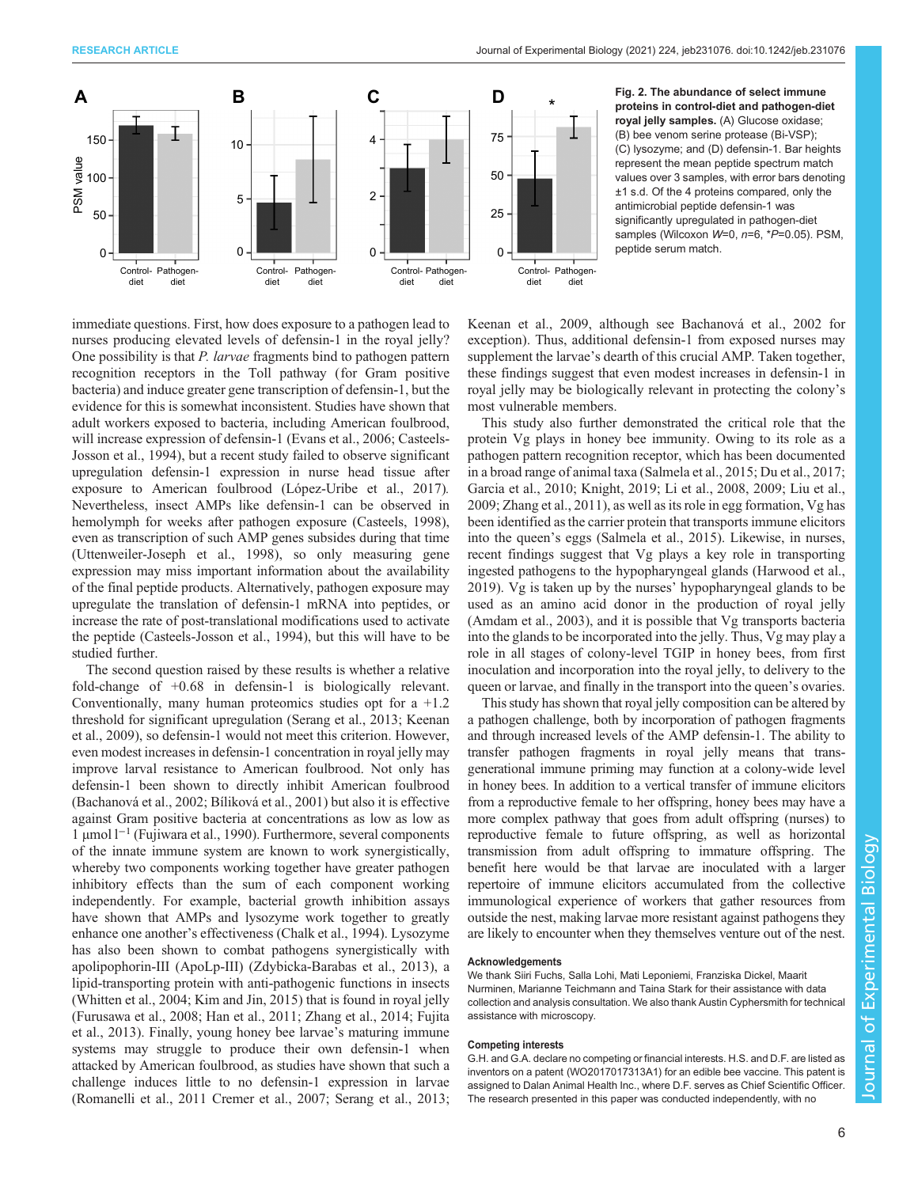<span id="page-5-0"></span>

Fig. 2. The abundance of select immune proteins in control-diet and pathogen-diet royal jelly samples. (A) Glucose oxidase; (B) bee venom serine protease (Bi-VSP); (C) lysozyme; and (D) defensin-1. Bar heights represent the mean peptide spectrum match values over 3 samples, with error bars denoting ±1 s.d. Of the 4 proteins compared, only the antimicrobial peptide defensin-1 was significantly upregulated in pathogen-diet samples (Wilcoxon W=0, n=6, \*P=0.05). PSM, peptide serum match.

immediate questions. First, how does exposure to a pathogen lead to nurses producing elevated levels of defensin-1 in the royal jelly? One possibility is that *P. larvae* fragments bind to pathogen pattern recognition receptors in the Toll pathway (for Gram positive bacteria) and induce greater gene transcription of defensin-1, but the evidence for this is somewhat inconsistent. Studies have shown that adult workers exposed to bacteria, including American foulbrood, will increase expression of defensin-1 [\(Evans et al., 2006](#page-6-0); [Casteels-](#page-6-0)[Josson et al., 1994\)](#page-6-0), but a recent study failed to observe significant upregulation defensin-1 expression in nurse head tissue after exposure to American foulbrood ([López-Uribe et al., 2017\)](#page-7-0). Nevertheless, insect AMPs like defensin-1 can be observed in hemolymph for weeks after pathogen exposure [\(Casteels, 1998\)](#page-6-0), even as transcription of such AMP genes subsides during that time [\(Uttenweiler-Joseph et al., 1998](#page-7-0)), so only measuring gene expression may miss important information about the availability of the final peptide products. Alternatively, pathogen exposure may upregulate the translation of defensin-1 mRNA into peptides, or increase the rate of post-translational modifications used to activate the peptide [\(Casteels-Josson et al., 1994](#page-6-0)), but this will have to be studied further.

The second question raised by these results is whether a relative fold-change of +0.68 in defensin-1 is biologically relevant. Conventionally, many human proteomics studies opt for  $a +1.2$ threshold for significant upregulation ([Serang et al., 2013; Keenan](#page-7-0) [et al., 2009\)](#page-7-0), so defensin-1 would not meet this criterion. However, even modest increases in defensin-1 concentration in royal jelly may improve larval resistance to American foulbrood. Not only has defensin-1 been shown to directly inhibit American foulbrood [\(Bachanová et al., 2002; Bíliková et al., 2001\)](#page-6-0) but also it is effective against Gram positive bacteria at concentrations as low as low as 1 µmol l−<sup>1</sup> [\(Fujiwara et al., 1990](#page-6-0)). Furthermore, several components of the innate immune system are known to work synergistically, whereby two components working together have greater pathogen inhibitory effects than the sum of each component working independently. For example, bacterial growth inhibition assays have shown that AMPs and lysozyme work together to greatly enhance one another's effectiveness ([Chalk et al., 1994](#page-6-0)). Lysozyme has also been shown to combat pathogens synergistically with apolipophorin-III (ApoLp-III) [\(Zdybicka-Barabas et al., 2013\)](#page-7-0), a lipid-transporting protein with anti-pathogenic functions in insects [\(Whitten et al., 2004](#page-7-0); [Kim and Jin, 2015](#page-7-0)) that is found in royal jelly [\(Furusawa et al., 2008](#page-6-0); [Han et al., 2011](#page-6-0); Zhang et al., 2014; [Fujita](#page-6-0) [et al., 2013](#page-6-0)). Finally, young honey bee larvae's maturing immune systems may struggle to produce their own defensin-1 when attacked by American foulbrood, as studies have shown that such a challenge induces little to no defensin-1 expression in larvae [\(Romanelli et al., 2011](#page-7-0) [Cremer et al., 2007](#page-6-0); [Serang et al., 2013](#page-7-0);

[Keenan et al., 2009,](#page-7-0) although see [Bachanová et al., 2002](#page-6-0) for exception). Thus, additional defensin-1 from exposed nurses may supplement the larvae's dearth of this crucial AMP. Taken together, these findings suggest that even modest increases in defensin-1 in royal jelly may be biologically relevant in protecting the colony's most vulnerable members.

This study also further demonstrated the critical role that the protein Vg plays in honey bee immunity. Owing to its role as a pathogen pattern recognition receptor, which has been documented in a broad range of animal taxa [\(Salmela et al., 2015;](#page-7-0) [Du et al., 2017](#page-6-0); [Garcia et al., 2010](#page-6-0); [Knight, 2019](#page-7-0); [Li et al., 2008, 2009; Liu et al.,](#page-7-0) [2009;](#page-7-0) Zhang et al., 2011), as well as its role in egg formation, Vg has been identified as the carrier protein that transports immune elicitors into the queen's eggs [\(Salmela et al., 2015](#page-7-0)). Likewise, in nurses, recent findings suggest that Vg plays a key role in transporting ingested pathogens to the hypopharyngeal glands [\(Harwood et al.,](#page-6-0) [2019\)](#page-6-0). Vg is taken up by the nurses' hypopharyngeal glands to be used as an amino acid donor in the production of royal jelly [\(Amdam et al., 2003](#page-6-0)), and it is possible that Vg transports bacteria into the glands to be incorporated into the jelly. Thus, Vg may play a role in all stages of colony-level TGIP in honey bees, from first inoculation and incorporation into the royal jelly, to delivery to the queen or larvae, and finally in the transport into the queen's ovaries.

This study has shown that royal jelly composition can be altered by a pathogen challenge, both by incorporation of pathogen fragments and through increased levels of the AMP defensin-1. The ability to transfer pathogen fragments in royal jelly means that transgenerational immune priming may function at a colony-wide level in honey bees. In addition to a vertical transfer of immune elicitors from a reproductive female to her offspring, honey bees may have a more complex pathway that goes from adult offspring (nurses) to reproductive female to future offspring, as well as horizontal transmission from adult offspring to immature offspring. The benefit here would be that larvae are inoculated with a larger repertoire of immune elicitors accumulated from the collective immunological experience of workers that gather resources from outside the nest, making larvae more resistant against pathogens they are likely to encounter when they themselves venture out of the nest.

## Acknowledgements

We thank Siiri Fuchs, Salla Lohi, Mati Leponiemi, Franziska Dickel, Maarit Nurminen, Marianne Teichmann and Taina Stark for their assistance with data collection and analysis consultation. We also thank Austin Cyphersmith for technical assistance with microscopy.

## Competing interests

G.H. and G.A. declare no competing or financial interests. H.S. and D.F. are listed as inventors on a patent (WO2017017313A1) for an edible bee vaccine. This patent is assigned to Dalan Animal Health Inc., where D.F. serves as Chief Scientific Officer. The research presented in this paper was conducted independently, with no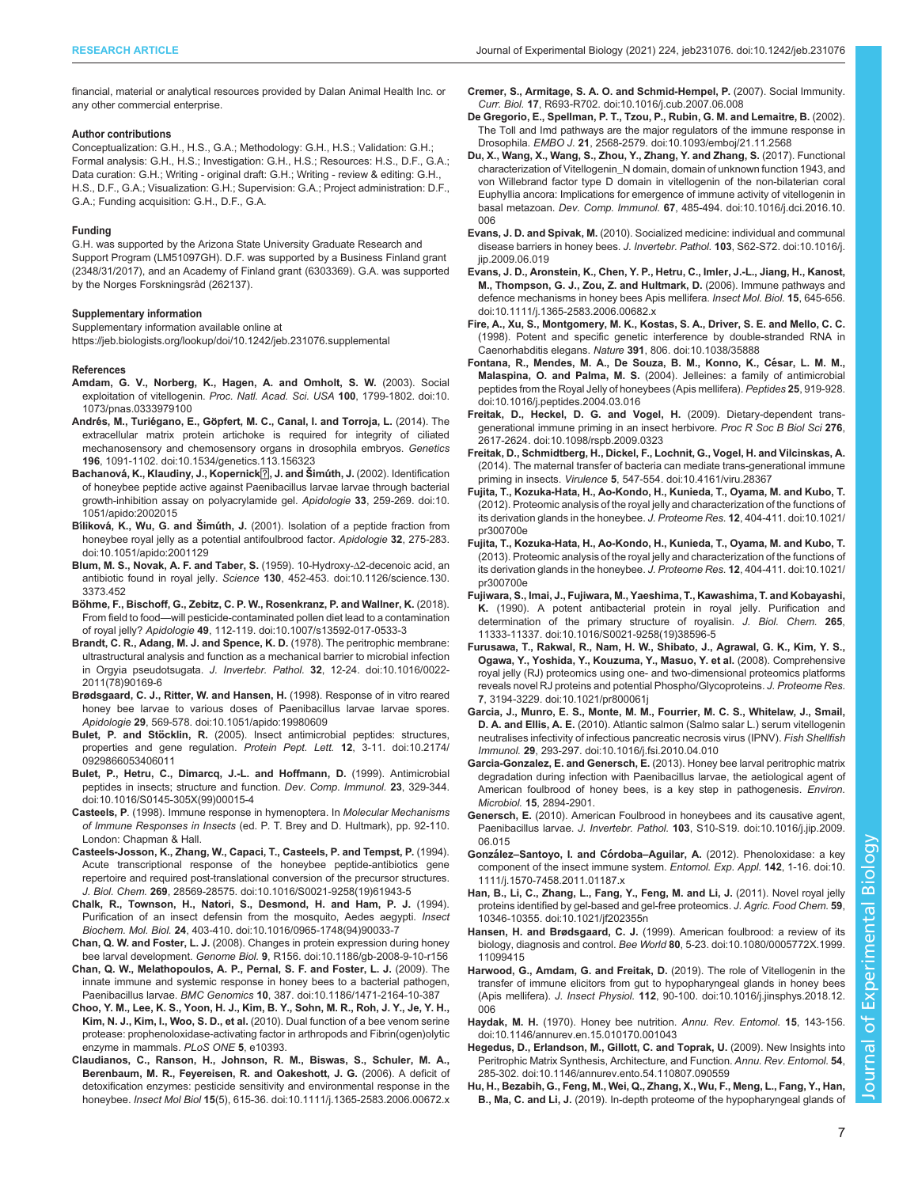<span id="page-6-0"></span>financial, material or analytical resources provided by Dalan Animal Health Inc. or any other commercial enterprise.

#### Author contributions

Conceptualization: G.H., H.S., G.A.; Methodology: G.H., H.S.; Validation: G.H.; Formal analysis: G.H., H.S.; Investigation: G.H., H.S.; Resources: H.S., D.F., G.A.; Data curation: G.H.; Writing - original draft: G.H.; Writing - review & editing: G.H., H.S., D.F., G.A.; Visualization: G.H.; Supervision: G.A.; Project administration: D.F., G.A.; Funding acquisition: G.H., D.F., G.A.

#### Funding

G.H. was supported by the Arizona State University Graduate Research and Support Program (LM51097GH). D.F. was supported by a Business Finland grant (2348/31/2017), and an Academy of Finland grant (6303369). G.A. was supported by the Norges Forskningsråd (262137).

#### Supplementary information

Supplementary information available online at <https://jeb.biologists.org/lookup/doi/10.1242/jeb.231076.supplemental>

#### References

- [Amdam, G. V., Norberg, K., Hagen, A. and Omholt, S. W.](https://doi.org/10.1073/pnas.0333979100) (2003). Social exploitation of vitellogenin. [Proc. Natl. Acad. Sci. USA](https://doi.org/10.1073/pnas.0333979100) 100, 1799-1802. doi:10. [1073/pnas.0333979100](https://doi.org/10.1073/pnas.0333979100)
- Andrés, M., Turiégano, E., Gö[pfert, M. C., Canal, I. and Torroja, L.](https://doi.org/10.1534/genetics.113.156323) (2014). The [extracellular matrix protein artichoke is required for integrity of ciliated](https://doi.org/10.1534/genetics.113.156323) [mechanosensory and chemosensory organs in drosophila embryos.](https://doi.org/10.1534/genetics.113.156323) Genetics 196[, 1091-1102. doi:10.1534/genetics.113.156323](https://doi.org/10.1534/genetics.113.156323)
- Bachanová[, K., Klaudiny, J., Kopernick](https://doi.org/10.1051/apido:2002015)<sup>[7]</sup>, J. and Šimúth, J. (2002). Identification [of honeybee peptide active against Paenibacillus larvae larvae through bacterial](https://doi.org/10.1051/apido:2002015) [growth-inhibition assay on polyacrylamide gel.](https://doi.org/10.1051/apido:2002015) Apidologie 33, 259-269. doi:10. [1051/apido:2002015](https://doi.org/10.1051/apido:2002015)
- Bíliková, K., Wu, G. and Šimúth, J. [\(2001\). Isolation of a peptide fraction from](https://doi.org/10.1051/apido:2001129) [honeybee royal jelly as a potential antifoulbrood factor.](https://doi.org/10.1051/apido:2001129) Apidologie 32, 275-283. [doi:10.1051/apido:2001129](https://doi.org/10.1051/apido:2001129)
- [Blum, M. S., Novak, A. F. and Taber, S.](https://doi.org/10.1126/science.130.3373.452) (1959). 10-Hydroxy-Δ2-decenoic acid, an antibiotic found in royal jelly. Science 130[, 452-453. doi:10.1126/science.130.](https://doi.org/10.1126/science.130.3373.452) [3373.452](https://doi.org/10.1126/science.130.3373.452)
- Bö[hme, F., Bischoff, G., Zebitz, C. P. W., Rosenkranz, P. and Wallner, K.](https://doi.org/10.1007/s13592-017-0533-3) (2018). From field to food—[will pesticide-contaminated pollen diet lead to a contamination](https://doi.org/10.1007/s13592-017-0533-3) of royal jelly? Apidologie 49[, 112-119. doi:10.1007/s13592-017-0533-3](https://doi.org/10.1007/s13592-017-0533-3)
- [Brandt, C. R., Adang, M. J. and Spence, K. D.](https://doi.org/10.1016/0022-2011(78)90169-6) (1978). The peritrophic membrane: [ultrastructural analysis and function as a mechanical barrier to microbial infection](https://doi.org/10.1016/0022-2011(78)90169-6) in Orgyia pseudotsugata. J. Invertebr. Pathol. 32[, 12-24. doi:10.1016/0022-](https://doi.org/10.1016/0022-2011(78)90169-6) [2011\(78\)90169-6](https://doi.org/10.1016/0022-2011(78)90169-6)
- [Brødsgaard, C. J., Ritter, W. and Hansen, H.](https://doi.org/10.1051/apido:19980609) (1998). Response of in vitro reared [honey bee larvae to various doses of Paenibacillus larvae larvae spores.](https://doi.org/10.1051/apido:19980609) Apidologie 29[, 569-578. doi:10.1051/apido:19980609](https://doi.org/10.1051/apido:19980609)
- Bulet, P. and Stöcklin, R. [\(2005\). Insect antimicrobial peptides: structures,](https://doi.org/10.2174/0929866053406011) [properties and gene regulation.](https://doi.org/10.2174/0929866053406011) Protein Pept. Lett. 12, 3-11. doi:10.2174/ [0929866053406011](https://doi.org/10.2174/0929866053406011)
- [Bulet, P., Hetru, C., Dimarcq, J.-L. and Hoffmann, D.](https://doi.org/10.1016/S0145-305X(99)00015-4) (1999). Antimicrobial [peptides in insects; structure and function.](https://doi.org/10.1016/S0145-305X(99)00015-4) Dev. Comp. Immunol. 23, 329-344. [doi:10.1016/S0145-305X\(99\)00015-4](https://doi.org/10.1016/S0145-305X(99)00015-4)
- Casteels, P. (1998). Immune response in hymenoptera. In Molecular Mechanisms of Immune Responses in Insects (ed. P. T. Brey and D. Hultmark), pp. 92-110. London: Chapman & Hall.
- [Casteels-Josson, K., Zhang, W., Capaci, T., Casteels, P. and Tempst, P.](https://doi.org/10.1016/S0021-9258(19)61943-5) (1994). [Acute transcriptional response of the honeybee peptide-antibiotics gene](https://doi.org/10.1016/S0021-9258(19)61943-5) [repertoire and required post-translational conversion of the precursor structures.](https://doi.org/10.1016/S0021-9258(19)61943-5) J. Biol. Chem. 269[, 28569-28575. doi:10.1016/S0021-9258\(19\)61943-5](https://doi.org/10.1016/S0021-9258(19)61943-5)
- [Chalk, R., Townson, H., Natori, S., Desmond, H. and Ham, P. J.](https://doi.org/10.1016/0965-1748(94)90033-7) (1994). [Purification of an insect defensin from the mosquito, Aedes aegypti.](https://doi.org/10.1016/0965-1748(94)90033-7) Insect Biochem. Mol. Biol. 24[, 403-410. doi:10.1016/0965-1748\(94\)90033-7](https://doi.org/10.1016/0965-1748(94)90033-7)
- Chan, Q. W. and Foster, L. J. [\(2008\). Changes in protein expression during honey](https://doi.org/10.1186/gb-2008-9-10-r156) bee larval development. Genome Biol. 9[, R156. doi:10.1186/gb-2008-9-10-r156](https://doi.org/10.1186/gb-2008-9-10-r156)
- [Chan, Q. W., Melathopoulos, A. P., Pernal, S. F. and Foster, L. J.](https://doi.org/10.1186/1471-2164-10-387) (2009). The [innate immune and systemic response in honey bees to a bacterial pathogen,](https://doi.org/10.1186/1471-2164-10-387) Paenibacillus larvae. BMC Genomics 10[, 387. doi:10.1186/1471-2164-10-387](https://doi.org/10.1186/1471-2164-10-387)
- Choo, Y. M., Lee, K. S., Yoon, H. J., Kim, B. Y., Sohn, M. R., Roh, J. Y., Je, Y. H., Kim, N. J., Kim, I., Woo, S. D., et al. (2010). Dual function of a bee venom serine protease: prophenoloxidase-activating factor in arthropods and Fibrin(ogen)olytic enzyme in mammals. PLoS ONE 5, e10393.
- [Claudianos, C., Ranson, H., Johnson, R. M., Biswas, S., Schuler, M. A.,](https://doi.org/10.1111/j.1365-2583.2006.00672.x) [Berenbaum, M. R., Feyereisen, R. and Oakeshott, J. G.](https://doi.org/10.1111/j.1365-2583.2006.00672.x) (2006). A deficit of [detoxification enzymes: pesticide sensitivity and environmental response in the](https://doi.org/10.1111/j.1365-2583.2006.00672.x) honeybee. Insect Mol Biol 15[\(5\), 615-36. doi:10.1111/j.1365-2583.2006.00672.x](https://doi.org/10.1111/j.1365-2583.2006.00672.x)
- [Cremer, S., Armitage, S. A. O. and Schmid-Hempel, P.](https://doi.org/10.1016/j.cub.2007.06.008) (2007). Social Immunity. Curr. Biol. 17[, R693-R702. doi:10.1016/j.cub.2007.06.008](https://doi.org/10.1016/j.cub.2007.06.008)
- [De Gregorio, E., Spellman, P. T., Tzou, P., Rubin, G. M. and Lemaitre, B.](https://doi.org/10.1093/emboj/21.11.2568) (2002). [The Toll and Imd pathways are the major regulators of the immune response in](https://doi.org/10.1093/emboj/21.11.2568) Drosophila. EMBO J. 21[, 2568-2579. doi:10.1093/emboj/21.11.2568](https://doi.org/10.1093/emboj/21.11.2568)
- [Du, X., Wang, X., Wang, S., Zhou, Y., Zhang, Y. and Zhang, S.](https://doi.org/10.1016/j.dci.2016.10.006) (2017). Functional [characterization of Vitellogenin\\_N domain, domain of unknown function 1943, and](https://doi.org/10.1016/j.dci.2016.10.006) [von Willebrand factor type D domain in vitellogenin of the non-bilaterian coral](https://doi.org/10.1016/j.dci.2016.10.006) [Euphyllia ancora: Implications for emergence of immune activity of vitellogenin in](https://doi.org/10.1016/j.dci.2016.10.006) basal metazoan. Dev. Comp. Immunol. 67[, 485-494. doi:10.1016/j.dci.2016.10.](https://doi.org/10.1016/j.dci.2016.10.006) [006](https://doi.org/10.1016/j.dci.2016.10.006)
- Evans, J. D. and Spivak, M. [\(2010\). Socialized medicine: individual and communal](https://doi.org/10.1016/j.jip.2009.06.019) [disease barriers in honey bees.](https://doi.org/10.1016/j.jip.2009.06.019) J. Invertebr. Pathol. 103, S62-S72. doi:10.1016/j. iip.2009.06.019
- [Evans, J. D., Aronstein, K., Chen, Y. P., Hetru, C., Imler, J.-L., Jiang, H., Kanost,](https://doi.org/10.1111/j.1365-2583.2006.00682.x) [M., Thompson, G. J., Zou, Z. and Hultmark, D.](https://doi.org/10.1111/j.1365-2583.2006.00682.x) (2006). Immune pathways and [defence mechanisms in honey bees Apis mellifera.](https://doi.org/10.1111/j.1365-2583.2006.00682.x) Insect Mol. Biol. 15, 645-656. [doi:10.1111/j.1365-2583.2006.00682.x](https://doi.org/10.1111/j.1365-2583.2006.00682.x)
- [Fire, A., Xu, S., Montgomery, M. K., Kostas, S. A., Driver, S. E. and Mello, C. C.](https://doi.org/10.1038/35888) [\(1998\). Potent and specific genetic interference by double-stranded RNA in](https://doi.org/10.1038/35888) Caenorhabditis elegans. Nature 391[, 806. doi:10.1038/35888](https://doi.org/10.1038/35888)
- Fontana, R., Mendes, M. A., De Souza, B. M., Konno, K., César, L. M. M., Malaspina, O. and Palma, M. S. [\(2004\). Jelleines: a family of antimicrobial](https://doi.org/10.1016/j.peptides.2004.03.016) [peptides from the Royal Jelly of honeybees \(Apis mellifera\).](https://doi.org/10.1016/j.peptides.2004.03.016) Peptides 25, 919-928. [doi:10.1016/j.peptides.2004.03.016](https://doi.org/10.1016/j.peptides.2004.03.016)
- [Freitak, D., Heckel, D. G. and Vogel, H.](https://doi.org/10.1098/rspb.2009.0323) (2009). Dietary-dependent trans[generational immune priming in an insect herbivore.](https://doi.org/10.1098/rspb.2009.0323) Proc R Soc B Biol Sci 276, [2617-2624. doi:10.1098/rspb.2009.0323](https://doi.org/10.1098/rspb.2009.0323)
- [Freitak, D., Schmidtberg, H., Dickel, F., Lochnit, G., Vogel, H. and Vilcinskas, A.](https://doi.org/10.4161/viru.28367) [\(2014\). The maternal transfer of bacteria can mediate trans-generational immune](https://doi.org/10.4161/viru.28367) priming in insects. Virulence 5[, 547-554. doi:10.4161/viru.28367](https://doi.org/10.4161/viru.28367)
- [Fujita, T., Kozuka-Hata, H., Ao-Kondo, H., Kunieda, T., Oyama, M. and Kubo, T.](https://doi.org/10.1021/pr300700e) [\(2012\). Proteomic analysis of the royal jelly and characterization of the functions of](https://doi.org/10.1021/pr300700e) [its derivation glands in the honeybee.](https://doi.org/10.1021/pr300700e) J. Proteome Res. 12, 404-411. doi:10.1021/ [pr300700e](https://doi.org/10.1021/pr300700e)
- [Fujita, T., Kozuka-Hata, H., Ao-Kondo, H., Kunieda, T., Oyama, M. and Kubo, T.](https://doi.org/10.1021/pr300700e) [\(2013\). Proteomic analysis of the royal jelly and characterization of the functions of](https://doi.org/10.1021/pr300700e) [its derivation glands in the honeybee.](https://doi.org/10.1021/pr300700e) J. Proteome Res. 12, 404-411. doi:10.1021/ [pr300700e](https://doi.org/10.1021/pr300700e)
- [Fujiwara, S., Imai, J., Fujiwara, M., Yaeshima, T., Kawashima, T. and Kobayashi,](https://doi.org/10.1016/S0021-9258(19)38596-5) K. [\(1990\). A potent antibacterial protein in royal jelly. Purification and](https://doi.org/10.1016/S0021-9258(19)38596-5) [determination of the primary structure of royalisin.](https://doi.org/10.1016/S0021-9258(19)38596-5) J. Biol. Chem. 265, [11333-11337. doi:10.1016/S0021-9258\(19\)38596-5](https://doi.org/10.1016/S0021-9258(19)38596-5)
- [Furusawa, T., Rakwal, R., Nam, H. W., Shibato, J., Agrawal, G. K., Kim, Y. S.,](https://doi.org/10.1021/pr800061j) [Ogawa, Y., Yoshida, Y., Kouzuma, Y., Masuo, Y. et al.](https://doi.org/10.1021/pr800061j) (2008). Comprehensive [royal jelly \(RJ\) proteomics using one- and two-dimensional proteomics platforms](https://doi.org/10.1021/pr800061j) [reveals novel RJ proteins and potential Phospho/Glycoproteins.](https://doi.org/10.1021/pr800061j) J. Proteome Res. 7[, 3194-3229. doi:10.1021/pr800061j](https://doi.org/10.1021/pr800061j)
- [Garcia, J., Munro, E. S., Monte, M. M., Fourrier, M. C. S., Whitelaw, J., Smail,](https://doi.org/10.1016/j.fsi.2010.04.010) D. A. and Ellis, A. E. [\(2010\). Atlantic salmon \(Salmo salar L.\) serum vitellogenin](https://doi.org/10.1016/j.fsi.2010.04.010) [neutralises infectivity of infectious pancreatic necrosis virus \(IPNV\).](https://doi.org/10.1016/j.fsi.2010.04.010) Fish Shellfish Immunol. 29[, 293-297. doi:10.1016/j.fsi.2010.04.010](https://doi.org/10.1016/j.fsi.2010.04.010)
- Garcia-Gonzalez, E. and Genersch, E. (2013). Honey bee larval peritrophic matrix degradation during infection with Paenibacillus larvae, the aetiological agent of American foulbrood of honey bees, is a key step in pathogenesis. Environ. Microbiol. 15, 2894-2901.
- Genersch, E. [\(2010\). American Foulbrood in honeybees and its causative agent,](https://doi.org/10.1016/j.jip.2009.06.015) Paenibacillus larvae. J. Invertebr. Pathol. 103[, S10-S19. doi:10.1016/j.jip.2009.](https://doi.org/10.1016/j.jip.2009.06.015) [06.015](https://doi.org/10.1016/j.jip.2009.06.015)
- González-Santoyo, I. and Córdoba-Aguilar, A. [\(2012\). Phenoloxidase: a key](https://doi.org/10.1111/j.1570-7458.2011.01187.x) [component of the insect immune system.](https://doi.org/10.1111/j.1570-7458.2011.01187.x) Entomol. Exp. Appl. 142, 1-16. doi:10. [1111/j.1570-7458.2011.01187.x](https://doi.org/10.1111/j.1570-7458.2011.01187.x)
- [Han, B., Li, C., Zhang, L., Fang, Y., Feng, M. and Li, J.](https://doi.org/10.1021/jf202355n) (2011). Novel royal jelly [proteins identified by gel-based and gel-free proteomics.](https://doi.org/10.1021/jf202355n) J. Agric. Food Chem. 59, [10346-10355. doi:10.1021/jf202355n](https://doi.org/10.1021/jf202355n)
- Hansen, H. and Brødsgaard, C. J. [\(1999\). American foulbrood: a review of its](https://doi.org/10.1080/0005772X.1999.11099415) biology, diagnosis and control. Bee World 80[, 5-23. doi:10.1080/0005772X.1999.](https://doi.org/10.1080/0005772X.1999.11099415) [11099415](https://doi.org/10.1080/0005772X.1999.11099415)
- [Harwood, G., Amdam, G. and Freitak, D.](https://doi.org/10.1016/j.jinsphys.2018.12.006) (2019). The role of Vitellogenin in the [transfer of immune elicitors from gut to hypopharyngeal glands in honey bees](https://doi.org/10.1016/j.jinsphys.2018.12.006) (Apis mellifera). J. Insect Physiol. 112[, 90-100. doi:10.1016/j.jinsphys.2018.12.](https://doi.org/10.1016/j.jinsphys.2018.12.006) [006](https://doi.org/10.1016/j.jinsphys.2018.12.006)
- Haydak, M. H. [\(1970\). Honey bee nutrition.](https://doi.org/10.1146/annurev.en.15.010170.001043) Annu. Rev. Entomol. 15, 143-156. [doi:10.1146/annurev.en.15.010170.001043](https://doi.org/10.1146/annurev.en.15.010170.001043)
- [Hegedus, D., Erlandson, M., Gillott, C. and Toprak, U.](https://doi.org/10.1146/annurev.ento.54.110807.090559) (2009). New Insights into [Peritrophic Matrix Synthesis, Architecture, and Function.](https://doi.org/10.1146/annurev.ento.54.110807.090559) Annu. Rev. Entomol. 54, [285-302. doi:10.1146/annurev.ento.54.110807.090559](https://doi.org/10.1146/annurev.ento.54.110807.090559)
- Hu, H., Bezabih, G., Feng, M., Wei, Q., Zhang, X., Wu, F., Meng, L., Fang, Y., Han, B., Ma, C. and Li, J. (2019). In-depth proteome of the hypopharyngeal glands of